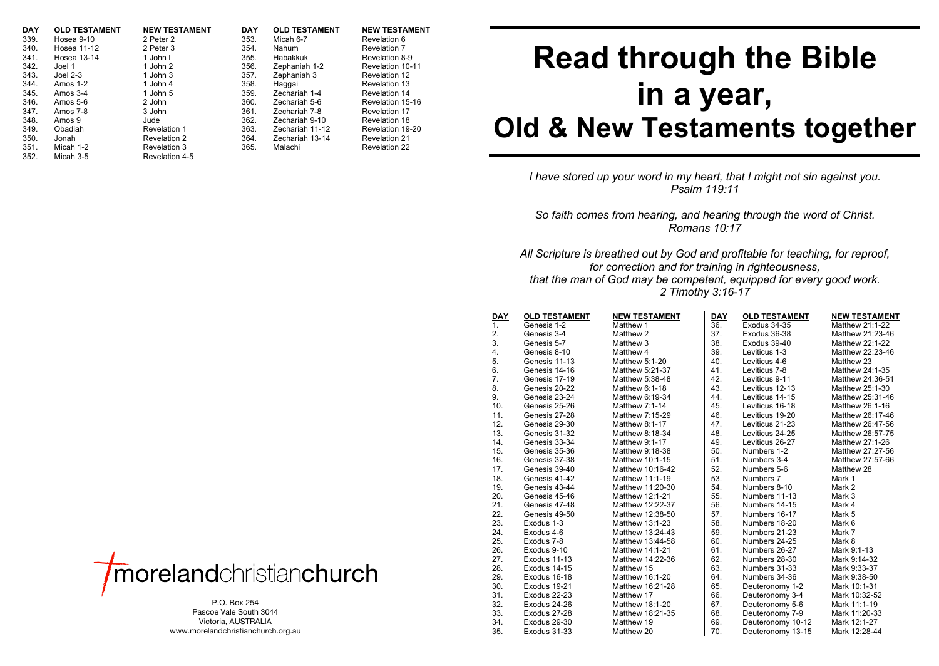| <b>DAY</b> | <b>OLD TESTAMENT</b> | <b>NEW TESTAMENT</b> | <b>DAY</b> | <b>OLD TESTAMENT</b> | <b>NEW TESTAMENT</b> |
|------------|----------------------|----------------------|------------|----------------------|----------------------|
| 339.       | Hosea 9-10           | 2 Peter 2            | 353.       | Micah 6-7            | Revelation 6         |
| 340.       | Hosea 11-12          | 2 Peter 3            | 354.       | Nahum                | Revelation 7         |
| 341.       | Hosea 13-14          | 1 John L             | 355.       | Habakkuk             | Revelation 8-9       |
| 342.       | Joel 1               | 1 John 2             | 356.       | Zephaniah 1-2        | Revelation 10-11     |
| 343.       | Joel $2-3$           | 1 John 3             | 357.       | Zephaniah 3          | Revelation 12        |
| 344.       | Amos $1-2$           | 1 John 4             | 358.       | Haggai               | Revelation 13        |
| 345.       | Amos $3-4$           | 1 John 5             | 359.       | Zechariah 1-4        | Revelation 14        |
| 346.       | Amos 5-6             | 2 John               | 360.       | Zechariah 5-6        | Revelation 15-16     |
| 347.       | Amos 7-8             | 3 John               | 361.       | Zechariah 7-8        | Revelation 17        |
| 348.       | Amos 9               | Jude                 | 362.       | Zechariah 9-10       | Revelation 18        |
| 349.       | Obadiah              | Revelation 1         | 363.       | Zechariah 11-12      | Revelation 19-20     |
| 350.       | Jonah                | Revelation 2         | 364.       | Zechariah 13-14      | Revelation 21        |
| 351.       | Micah 1-2            | Revelation 3         | 365.       | Malachi              | Revelation 22        |
| 352.       | Micah 3-5            | Revelation 4-5       |            |                      |                      |

## **Read through the Bible in a year, Old & New Testaments together**

*I have stored up your word in my heart, that I might not sin against you. Psalm 119:11*

*So faith comes from hearing, and hearing through the word of Christ. Romans 10:17*

*All Scripture is breathed out by God and profitable for teaching, for reproof, for correction and for training in righteousness, that the man of God may be competent, equipped for every good work. 2 Timothy 3:16-17*

| <b>DAY</b> | <b>OLD TESTAMENT</b> | <b>NEW TESTAMENT</b> | DAY | <b>OLD TESTAMENT</b> | <b>NEW TESTAMENT</b> |  |  |
|------------|----------------------|----------------------|-----|----------------------|----------------------|--|--|
| 1.         | Genesis 1-2          | Matthew 1            | 36. | Exodus 34-35         | Matthew 21:1-22      |  |  |
| 2.         | Genesis 3-4          | Matthew 2            | 37. | Exodus 36-38         | Matthew 21:23-46     |  |  |
| 3.         | Genesis 5-7          | Matthew 3            | 38. | Exodus 39-40         | Matthew 22:1-22      |  |  |
| 4.         | Genesis 8-10         | Matthew 4            | 39. | Leviticus 1-3        | Matthew 22:23-46     |  |  |
| 5.         | Genesis 11-13        | Matthew 5:1-20       | 40. | Leviticus 4-6        | Matthew 23           |  |  |
| 6.         | Genesis 14-16        | Matthew 5:21-37      | 41. | Leviticus 7-8        | Matthew 24:1-35      |  |  |
| 7.         | Genesis 17-19        | Matthew 5:38-48      | 42. | Leviticus 9-11       | Matthew 24:36-51     |  |  |
| 8.         | Genesis 20-22        | Matthew 6:1-18       | 43. | Leviticus 12-13      | Matthew 25:1-30      |  |  |
| 9.         | Genesis 23-24        | Matthew 6:19-34      | 44. | Leviticus 14-15      | Matthew 25:31-46     |  |  |
| 10.        | Genesis 25-26        | Matthew 7:1-14       | 45. | Leviticus 16-18      | Matthew 26:1-16      |  |  |
| 11.        | Genesis 27-28        | Matthew 7:15-29      | 46. | Leviticus 19-20      | Matthew 26:17-46     |  |  |
| 12.        | Genesis 29-30        | Matthew 8:1-17       | 47. | Leviticus 21-23      | Matthew 26:47-56     |  |  |
| 13.        | Genesis 31-32        | Matthew 8:18-34      | 48. | Leviticus 24-25      | Matthew 26:57-75     |  |  |
| 14.        | Genesis 33-34        | Matthew 9:1-17       | 49. | Leviticus 26-27      | Matthew 27:1-26      |  |  |
| 15.        | Genesis 35-36        | Matthew 9:18-38      | 50. | Numbers 1-2          | Matthew 27:27-56     |  |  |
| 16.        | Genesis 37-38        | Matthew 10:1-15      | 51. | Numbers 3-4          | Matthew 27:57-66     |  |  |
| 17.        | Genesis 39-40        | Matthew 10:16-42     | 52. | Numbers 5-6          | Matthew 28           |  |  |
| 18.        | Genesis 41-42        | Matthew 11:1-19      | 53. | Numbers 7            | Mark 1               |  |  |
| 19.        | Genesis 43-44        | Matthew 11:20-30     | 54. | Numbers 8-10         | Mark 2               |  |  |
| 20.        | Genesis 45-46        | Matthew 12:1-21      | 55. | Numbers 11-13        | Mark 3               |  |  |
| 21.        | Genesis 47-48        | Matthew 12:22-37     | 56. | Numbers 14-15        | Mark 4               |  |  |
| 22.        | Genesis 49-50        | Matthew 12:38-50     | 57. | Numbers 16-17        | Mark 5               |  |  |
| 23.        | Exodus 1-3           | Matthew 13:1-23      | 58. | Numbers 18-20        | Mark 6               |  |  |
| 24.        | Exodus 4-6           | Matthew 13:24-43     | 59. | Numbers 21-23        | Mark 7               |  |  |
| 25.        | Exodus 7-8           | Matthew 13:44-58     | 60. | Numbers 24-25        | Mark 8               |  |  |
| 26.        | Exodus 9-10          | Matthew 14:1-21      | 61. | Numbers 26-27        | Mark 9:1-13          |  |  |
| 27.        | Exodus 11-13         | Matthew 14:22-36     | 62. | Numbers 28-30        | Mark 9:14-32         |  |  |
| 28.        | Exodus 14-15         | Matthew 15           | 63. | Numbers 31-33        | Mark 9:33-37         |  |  |
| 29.        | Exodus 16-18         | Matthew 16:1-20      | 64. | Numbers 34-36        | Mark 9:38-50         |  |  |
| 30.        | Exodus 19-21         | Matthew 16:21-28     | 65. | Deuteronomy 1-2      | Mark 10:1-31         |  |  |
| 31.        | Exodus 22-23         | Matthew 17           | 66. | Deuteronomy 3-4      | Mark 10:32-52        |  |  |
| 32.        | Exodus 24-26         | Matthew 18:1-20      | 67. | Deuteronomy 5-6      | Mark 11:1-19         |  |  |
| 33.        | Exodus 27-28         | Matthew 18:21-35     | 68. | Deuteronomy 7-9      | Mark 11:20-33        |  |  |
| 34.        | Exodus 29-30         | Matthew 19           | 69. | Deuteronomy 10-12    | Mark 12:1-27         |  |  |
| 35.        | Exodus 31-33         | Matthew 20           | 70. | Deuteronomy 13-15    | Mark 12:28-44        |  |  |



P.O. Box 254 Pascoe Vale South 3044 Victoria, AUSTRALIA www.morelandchristianchurch.org.au